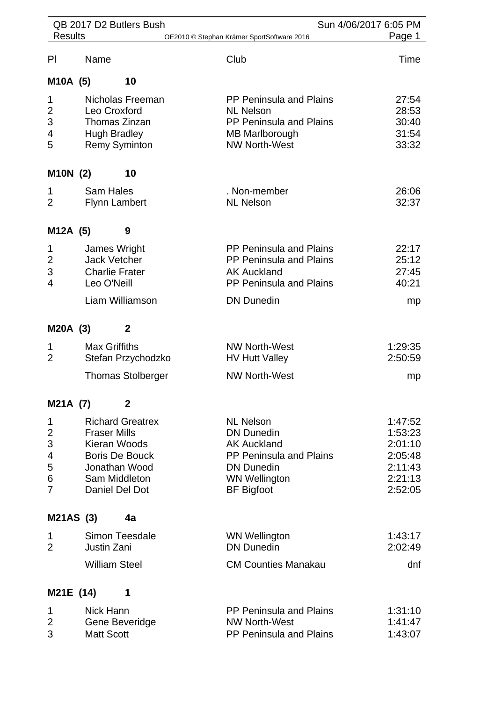|                                        |                                                                             | QB 2017 D2 Butlers Bush                                                                              |                                                                                                                                                                 | Sun 4/06/2017 6:05 PM                                                     |
|----------------------------------------|-----------------------------------------------------------------------------|------------------------------------------------------------------------------------------------------|-----------------------------------------------------------------------------------------------------------------------------------------------------------------|---------------------------------------------------------------------------|
| <b>Results</b>                         |                                                                             |                                                                                                      | OE2010 © Stephan Krämer SportSoftware 2016                                                                                                                      | Page 1                                                                    |
| PI                                     | Name                                                                        |                                                                                                      | Club                                                                                                                                                            | Time                                                                      |
| M10A (5)                               |                                                                             | 10                                                                                                   |                                                                                                                                                                 |                                                                           |
| 1<br>$\overline{c}$<br>3<br>4<br>5     | Leo Croxford<br><b>Hugh Bradley</b>                                         | Nicholas Freeman<br>Thomas Zinzan<br><b>Remy Syminton</b>                                            | <b>PP Peninsula and Plains</b><br><b>NL Nelson</b><br>PP Peninsula and Plains<br><b>MB Marlborough</b><br><b>NW North-West</b>                                  | 27:54<br>28:53<br>30:40<br>31:54<br>33:32                                 |
| M10N (2)                               |                                                                             | 10                                                                                                   |                                                                                                                                                                 |                                                                           |
| 1<br>$\overline{2}$                    | <b>Sam Hales</b><br><b>Flynn Lambert</b>                                    |                                                                                                      | . Non-member<br><b>NL Nelson</b>                                                                                                                                | 26:06<br>32:37                                                            |
| M12A (5)                               |                                                                             | 9                                                                                                    |                                                                                                                                                                 |                                                                           |
| 1<br>$\overline{\mathbf{c}}$<br>3<br>4 | James Wright<br><b>Jack Vetcher</b><br><b>Charlie Frater</b><br>Leo O'Neill |                                                                                                      | <b>PP Peninsula and Plains</b><br>PP Peninsula and Plains<br><b>AK Auckland</b><br>PP Peninsula and Plains                                                      | 22:17<br>25:12<br>27:45<br>40:21                                          |
|                                        |                                                                             | Liam Williamson                                                                                      | <b>DN Dunedin</b>                                                                                                                                               | mp                                                                        |
| M20A (3)                               |                                                                             | $\boldsymbol{2}$                                                                                     |                                                                                                                                                                 |                                                                           |
| 1<br>2                                 | <b>Max Griffiths</b>                                                        | Stefan Przychodzko                                                                                   | <b>NW North-West</b><br><b>HV Hutt Valley</b>                                                                                                                   | 1:29:35<br>2:50:59                                                        |
|                                        |                                                                             | <b>Thomas Stolberger</b>                                                                             | <b>NW North-West</b>                                                                                                                                            | mp                                                                        |
| M21A (7)                               |                                                                             | $\boldsymbol{2}$                                                                                     |                                                                                                                                                                 |                                                                           |
| 1<br>2<br>3<br>4<br>5<br>6<br>7        | <b>Fraser Mills</b><br>Kieran Woods                                         | <b>Richard Greatrex</b><br><b>Boris De Bouck</b><br>Jonathan Wood<br>Sam Middleton<br>Daniel Del Dot | <b>NL Nelson</b><br><b>DN Dunedin</b><br><b>AK Auckland</b><br><b>PP Peninsula and Plains</b><br><b>DN Dunedin</b><br><b>WN Wellington</b><br><b>BF Bigfoot</b> | 1:47:52<br>1:53:23<br>2:01:10<br>2:05:48<br>2:11:43<br>2:21:13<br>2:52:05 |
| M21AS (3)                              |                                                                             | 4a                                                                                                   |                                                                                                                                                                 |                                                                           |
| 1<br>$\overline{2}$                    | Justin Zani                                                                 | Simon Teesdale                                                                                       | <b>WN Wellington</b><br><b>DN Dunedin</b>                                                                                                                       | 1:43:17<br>2:02:49                                                        |
|                                        | <b>William Steel</b>                                                        |                                                                                                      | <b>CM Counties Manakau</b>                                                                                                                                      | dnf                                                                       |
| M21E (14)                              |                                                                             | 1                                                                                                    |                                                                                                                                                                 |                                                                           |
| 1<br>2<br>3                            | Nick Hann<br><b>Matt Scott</b>                                              | Gene Beveridge                                                                                       | <b>PP Peninsula and Plains</b><br><b>NW North-West</b><br>PP Peninsula and Plains                                                                               | 1:31:10<br>1:41:47<br>1:43:07                                             |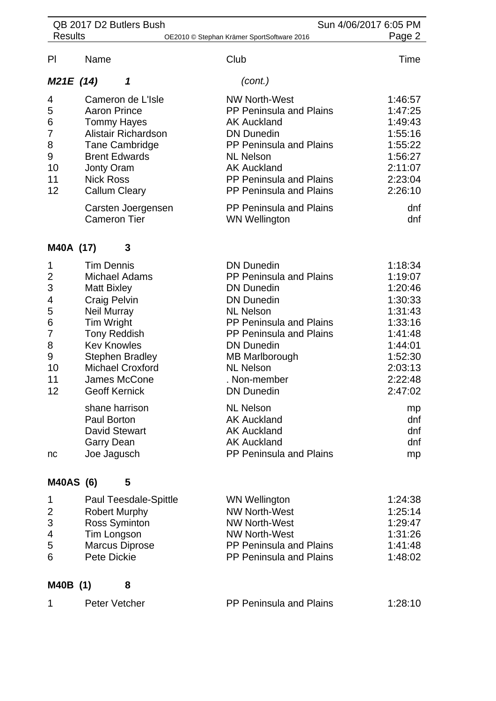|                                                                                                          |                                                                                                                                                                                                                            | QB 2017 D2 Butlers Bush                                                                                                                                                              |                                                                                                                                                                                                                                                                                                                                                                                                 | Sun 4/06/2017 6:05 PM                                                                                                                                             |
|----------------------------------------------------------------------------------------------------------|----------------------------------------------------------------------------------------------------------------------------------------------------------------------------------------------------------------------------|--------------------------------------------------------------------------------------------------------------------------------------------------------------------------------------|-------------------------------------------------------------------------------------------------------------------------------------------------------------------------------------------------------------------------------------------------------------------------------------------------------------------------------------------------------------------------------------------------|-------------------------------------------------------------------------------------------------------------------------------------------------------------------|
| <b>Results</b><br>Page 2<br>OE2010 © Stephan Krämer SportSoftware 2016                                   |                                                                                                                                                                                                                            |                                                                                                                                                                                      |                                                                                                                                                                                                                                                                                                                                                                                                 |                                                                                                                                                                   |
| PI                                                                                                       | Name                                                                                                                                                                                                                       |                                                                                                                                                                                      | Club                                                                                                                                                                                                                                                                                                                                                                                            | Time                                                                                                                                                              |
| M21E (14)                                                                                                |                                                                                                                                                                                                                            | 1                                                                                                                                                                                    | (cont.)                                                                                                                                                                                                                                                                                                                                                                                         |                                                                                                                                                                   |
| 4<br>5<br>6<br>7<br>8<br>9<br>10<br>11<br>12                                                             | <b>Aaron Prince</b><br>Jonty Oram<br><b>Nick Ross</b>                                                                                                                                                                      | Cameron de L'Isle<br><b>Tommy Hayes</b><br>Alistair Richardson<br><b>Tane Cambridge</b><br><b>Brent Edwards</b><br><b>Callum Cleary</b><br>Carsten Joergensen<br><b>Cameron Tier</b> | <b>NW North-West</b><br><b>PP Peninsula and Plains</b><br><b>AK Auckland</b><br><b>DN Dunedin</b><br>PP Peninsula and Plains<br><b>NL Nelson</b><br><b>AK Auckland</b><br>PP Peninsula and Plains<br><b>PP Peninsula and Plains</b><br>PP Peninsula and Plains<br><b>WN Wellington</b>                                                                                                          | 1:46:57<br>1:47:25<br>1:49:43<br>1:55:16<br>1:55:22<br>1:56:27<br>2:11:07<br>2:23:04<br>2:26:10<br>dnf<br>dnf                                                     |
|                                                                                                          |                                                                                                                                                                                                                            | 3                                                                                                                                                                                    |                                                                                                                                                                                                                                                                                                                                                                                                 |                                                                                                                                                                   |
| M40A (17)<br>1<br>$\overline{c}$<br>3<br>4<br>5<br>6<br>$\overline{7}$<br>8<br>9<br>10<br>11<br>12<br>nc | <b>Tim Dennis</b><br><b>Matt Bixley</b><br><b>Craig Pelvin</b><br><b>Neil Murray</b><br>Tim Wright<br><b>Tony Reddish</b><br><b>Kev Knowles</b><br><b>Geoff Kernick</b><br>Paul Borton<br><b>Garry Dean</b><br>Joe Jagusch | <b>Michael Adams</b><br><b>Stephen Bradley</b><br><b>Michael Croxford</b><br>James McCone<br>shane harrison<br><b>David Stewart</b>                                                  | <b>DN Dunedin</b><br>PP Peninsula and Plains<br><b>DN Dunedin</b><br><b>DN Dunedin</b><br><b>NL Nelson</b><br>PP Peninsula and Plains<br><b>PP Peninsula and Plains</b><br><b>DN Dunedin</b><br><b>MB Marlborough</b><br><b>NL Nelson</b><br>. Non-member<br><b>DN Dunedin</b><br><b>NL Nelson</b><br><b>AK Auckland</b><br><b>AK Auckland</b><br><b>AK Auckland</b><br>PP Peninsula and Plains | 1:18:34<br>1:19:07<br>1:20:46<br>1:30:33<br>1:31:43<br>1:33:16<br>1:41:48<br>1:44:01<br>1:52:30<br>2:03:13<br>2:22:48<br>2:47:02<br>mp<br>dnf<br>dnf<br>dnf<br>mp |
| <b>M40AS (6)</b>                                                                                         |                                                                                                                                                                                                                            | 5                                                                                                                                                                                    |                                                                                                                                                                                                                                                                                                                                                                                                 |                                                                                                                                                                   |
| 1<br>$\overline{c}$<br>3<br>4<br>5<br>6                                                                  | Tim Longson<br><b>Pete Dickie</b>                                                                                                                                                                                          | Paul Teesdale-Spittle<br><b>Robert Murphy</b><br><b>Ross Syminton</b><br><b>Marcus Diprose</b>                                                                                       | <b>WN Wellington</b><br><b>NW North-West</b><br><b>NW North-West</b><br><b>NW North-West</b><br><b>PP Peninsula and Plains</b><br><b>PP Peninsula and Plains</b>                                                                                                                                                                                                                                | 1:24:38<br>1:25:14<br>1:29:47<br>1:31:26<br>1:41:48<br>1:48:02                                                                                                    |
| M40B (1)                                                                                                 |                                                                                                                                                                                                                            | 8                                                                                                                                                                                    |                                                                                                                                                                                                                                                                                                                                                                                                 |                                                                                                                                                                   |
| 1                                                                                                        | <b>Peter Vetcher</b>                                                                                                                                                                                                       |                                                                                                                                                                                      | PP Peninsula and Plains                                                                                                                                                                                                                                                                                                                                                                         | 1:28:10                                                                                                                                                           |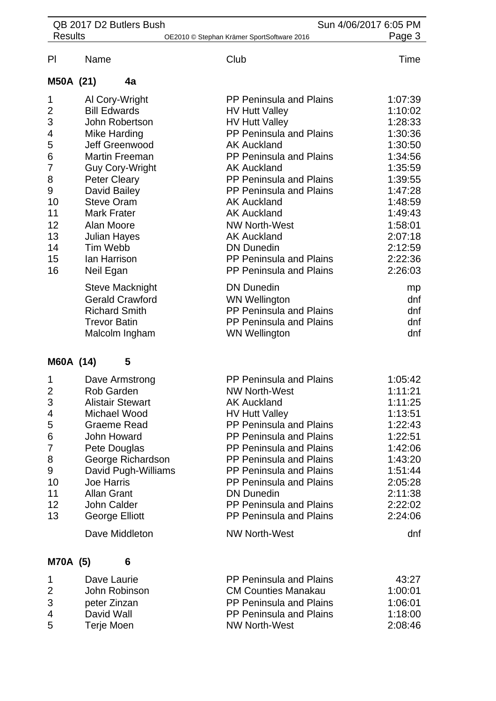| <b>Results</b><br>OE2010 © Stephan Krämer SportSoftware 2016<br>Club<br>Name<br>4a<br>PP Peninsula and Plains<br>1<br>Al Cory-Wright<br><b>Bill Edwards</b><br>$\overline{2}$<br><b>HV Hutt Valley</b><br>3<br>John Robertson<br><b>HV Hutt Valley</b><br>PP Peninsula and Plains<br>Mike Harding<br>5<br>Jeff Greenwood<br><b>AK Auckland</b><br><b>Martin Freeman</b><br>PP Peninsula and Plains<br>$\overline{7}$<br><b>AK Auckland</b><br><b>Guy Cory-Wright</b><br><b>Peter Cleary</b><br>PP Peninsula and Plains<br>David Bailey<br>PP Peninsula and Plains<br>10<br><b>Steve Oram</b><br><b>AK Auckland</b><br>11<br><b>Mark Frater</b><br><b>AK Auckland</b><br>12<br>Alan Moore<br><b>NW North-West</b><br>13<br><b>AK Auckland</b><br>Julian Hayes<br>Tim Webb<br>14<br><b>DN Dunedin</b><br>15<br><b>PP Peninsula and Plains</b><br>lan Harrison<br>16<br>Neil Egan<br><b>PP Peninsula and Plains</b><br><b>DN Dunedin</b><br><b>Steve Macknight</b><br><b>Gerald Crawford</b><br><b>WN Wellington</b><br>PP Peninsula and Plains<br><b>Richard Smith</b><br>PP Peninsula and Plains<br><b>Trevor Batin</b> | Page 3<br>Time<br>1:07:39<br>1:10:02<br>1:28:33<br>1:30:36<br>1:30:50<br>1:34:56<br>1:35:59<br>1:39:55<br>1:47:28 |
|------------------------------------------------------------------------------------------------------------------------------------------------------------------------------------------------------------------------------------------------------------------------------------------------------------------------------------------------------------------------------------------------------------------------------------------------------------------------------------------------------------------------------------------------------------------------------------------------------------------------------------------------------------------------------------------------------------------------------------------------------------------------------------------------------------------------------------------------------------------------------------------------------------------------------------------------------------------------------------------------------------------------------------------------------------------------------------------------------------------------|-------------------------------------------------------------------------------------------------------------------|
| PI                                                                                                                                                                                                                                                                                                                                                                                                                                                                                                                                                                                                                                                                                                                                                                                                                                                                                                                                                                                                                                                                                                                     |                                                                                                                   |
| M50A (21)<br>4<br>6<br>8<br>9                                                                                                                                                                                                                                                                                                                                                                                                                                                                                                                                                                                                                                                                                                                                                                                                                                                                                                                                                                                                                                                                                          |                                                                                                                   |
|                                                                                                                                                                                                                                                                                                                                                                                                                                                                                                                                                                                                                                                                                                                                                                                                                                                                                                                                                                                                                                                                                                                        |                                                                                                                   |
|                                                                                                                                                                                                                                                                                                                                                                                                                                                                                                                                                                                                                                                                                                                                                                                                                                                                                                                                                                                                                                                                                                                        |                                                                                                                   |
|                                                                                                                                                                                                                                                                                                                                                                                                                                                                                                                                                                                                                                                                                                                                                                                                                                                                                                                                                                                                                                                                                                                        |                                                                                                                   |
|                                                                                                                                                                                                                                                                                                                                                                                                                                                                                                                                                                                                                                                                                                                                                                                                                                                                                                                                                                                                                                                                                                                        |                                                                                                                   |
|                                                                                                                                                                                                                                                                                                                                                                                                                                                                                                                                                                                                                                                                                                                                                                                                                                                                                                                                                                                                                                                                                                                        |                                                                                                                   |
|                                                                                                                                                                                                                                                                                                                                                                                                                                                                                                                                                                                                                                                                                                                                                                                                                                                                                                                                                                                                                                                                                                                        |                                                                                                                   |
|                                                                                                                                                                                                                                                                                                                                                                                                                                                                                                                                                                                                                                                                                                                                                                                                                                                                                                                                                                                                                                                                                                                        |                                                                                                                   |
|                                                                                                                                                                                                                                                                                                                                                                                                                                                                                                                                                                                                                                                                                                                                                                                                                                                                                                                                                                                                                                                                                                                        |                                                                                                                   |
|                                                                                                                                                                                                                                                                                                                                                                                                                                                                                                                                                                                                                                                                                                                                                                                                                                                                                                                                                                                                                                                                                                                        |                                                                                                                   |
|                                                                                                                                                                                                                                                                                                                                                                                                                                                                                                                                                                                                                                                                                                                                                                                                                                                                                                                                                                                                                                                                                                                        |                                                                                                                   |
|                                                                                                                                                                                                                                                                                                                                                                                                                                                                                                                                                                                                                                                                                                                                                                                                                                                                                                                                                                                                                                                                                                                        | 1:48:59                                                                                                           |
|                                                                                                                                                                                                                                                                                                                                                                                                                                                                                                                                                                                                                                                                                                                                                                                                                                                                                                                                                                                                                                                                                                                        | 1:49:43                                                                                                           |
|                                                                                                                                                                                                                                                                                                                                                                                                                                                                                                                                                                                                                                                                                                                                                                                                                                                                                                                                                                                                                                                                                                                        | 1:58:01                                                                                                           |
|                                                                                                                                                                                                                                                                                                                                                                                                                                                                                                                                                                                                                                                                                                                                                                                                                                                                                                                                                                                                                                                                                                                        | 2:07:18                                                                                                           |
|                                                                                                                                                                                                                                                                                                                                                                                                                                                                                                                                                                                                                                                                                                                                                                                                                                                                                                                                                                                                                                                                                                                        | 2:12:59                                                                                                           |
|                                                                                                                                                                                                                                                                                                                                                                                                                                                                                                                                                                                                                                                                                                                                                                                                                                                                                                                                                                                                                                                                                                                        | 2:22:36                                                                                                           |
|                                                                                                                                                                                                                                                                                                                                                                                                                                                                                                                                                                                                                                                                                                                                                                                                                                                                                                                                                                                                                                                                                                                        | 2:26:03                                                                                                           |
|                                                                                                                                                                                                                                                                                                                                                                                                                                                                                                                                                                                                                                                                                                                                                                                                                                                                                                                                                                                                                                                                                                                        | mp                                                                                                                |
|                                                                                                                                                                                                                                                                                                                                                                                                                                                                                                                                                                                                                                                                                                                                                                                                                                                                                                                                                                                                                                                                                                                        | dnf                                                                                                               |
|                                                                                                                                                                                                                                                                                                                                                                                                                                                                                                                                                                                                                                                                                                                                                                                                                                                                                                                                                                                                                                                                                                                        | dnf                                                                                                               |
|                                                                                                                                                                                                                                                                                                                                                                                                                                                                                                                                                                                                                                                                                                                                                                                                                                                                                                                                                                                                                                                                                                                        | dnf                                                                                                               |
| Malcolm Ingham<br><b>WN Wellington</b>                                                                                                                                                                                                                                                                                                                                                                                                                                                                                                                                                                                                                                                                                                                                                                                                                                                                                                                                                                                                                                                                                 | dnf                                                                                                               |
| M60A (14)<br>5                                                                                                                                                                                                                                                                                                                                                                                                                                                                                                                                                                                                                                                                                                                                                                                                                                                                                                                                                                                                                                                                                                         |                                                                                                                   |
| <b>PP Peninsula and Plains</b><br>1<br>Dave Armstrong                                                                                                                                                                                                                                                                                                                                                                                                                                                                                                                                                                                                                                                                                                                                                                                                                                                                                                                                                                                                                                                                  | 1:05:42                                                                                                           |
| $\overline{2}$<br>Rob Garden<br><b>NW North-West</b>                                                                                                                                                                                                                                                                                                                                                                                                                                                                                                                                                                                                                                                                                                                                                                                                                                                                                                                                                                                                                                                                   | 1:11:21                                                                                                           |
| 3<br><b>Alistair Stewart</b><br><b>AK Auckland</b>                                                                                                                                                                                                                                                                                                                                                                                                                                                                                                                                                                                                                                                                                                                                                                                                                                                                                                                                                                                                                                                                     | 1:11:25                                                                                                           |
| Michael Wood<br><b>HV Hutt Valley</b><br>4                                                                                                                                                                                                                                                                                                                                                                                                                                                                                                                                                                                                                                                                                                                                                                                                                                                                                                                                                                                                                                                                             | 1:13:51                                                                                                           |
| PP Peninsula and Plains<br>5<br>Graeme Read                                                                                                                                                                                                                                                                                                                                                                                                                                                                                                                                                                                                                                                                                                                                                                                                                                                                                                                                                                                                                                                                            | 1:22:43                                                                                                           |
| PP Peninsula and Plains<br>6<br>John Howard                                                                                                                                                                                                                                                                                                                                                                                                                                                                                                                                                                                                                                                                                                                                                                                                                                                                                                                                                                                                                                                                            | 1:22:51                                                                                                           |
| 7<br>Pete Douglas<br>PP Peninsula and Plains                                                                                                                                                                                                                                                                                                                                                                                                                                                                                                                                                                                                                                                                                                                                                                                                                                                                                                                                                                                                                                                                           | 1:42:06                                                                                                           |
| 8<br>George Richardson<br>PP Peninsula and Plains                                                                                                                                                                                                                                                                                                                                                                                                                                                                                                                                                                                                                                                                                                                                                                                                                                                                                                                                                                                                                                                                      | 1:43:20                                                                                                           |
| 9<br>David Pugh-Williams<br>PP Peninsula and Plains                                                                                                                                                                                                                                                                                                                                                                                                                                                                                                                                                                                                                                                                                                                                                                                                                                                                                                                                                                                                                                                                    | 1:51:44                                                                                                           |
| 10<br><b>Joe Harris</b><br>PP Peninsula and Plains                                                                                                                                                                                                                                                                                                                                                                                                                                                                                                                                                                                                                                                                                                                                                                                                                                                                                                                                                                                                                                                                     | 2:05:28                                                                                                           |
| 11<br><b>Allan Grant</b><br><b>DN Dunedin</b>                                                                                                                                                                                                                                                                                                                                                                                                                                                                                                                                                                                                                                                                                                                                                                                                                                                                                                                                                                                                                                                                          | 2:11:38                                                                                                           |
| 12<br>PP Peninsula and Plains<br>John Calder                                                                                                                                                                                                                                                                                                                                                                                                                                                                                                                                                                                                                                                                                                                                                                                                                                                                                                                                                                                                                                                                           | 2:22:02                                                                                                           |
| 13<br><b>George Elliott</b><br><b>PP Peninsula and Plains</b>                                                                                                                                                                                                                                                                                                                                                                                                                                                                                                                                                                                                                                                                                                                                                                                                                                                                                                                                                                                                                                                          | 2:24:06                                                                                                           |
| Dave Middleton<br><b>NW North-West</b>                                                                                                                                                                                                                                                                                                                                                                                                                                                                                                                                                                                                                                                                                                                                                                                                                                                                                                                                                                                                                                                                                 |                                                                                                                   |

|   | Dave Laurie   | <b>PP Peninsula and Plains</b> | 43:27   |
|---|---------------|--------------------------------|---------|
| 2 | John Robinson | <b>CM Counties Manakau</b>     | 1:00:01 |
| 3 | peter Zinzan  | <b>PP Peninsula and Plains</b> | 1:06:01 |
| 4 | David Wall    | PP Peninsula and Plains        | 1:18:00 |
| 5 | Terje Moen    | <b>NW North-West</b>           | 2:08:46 |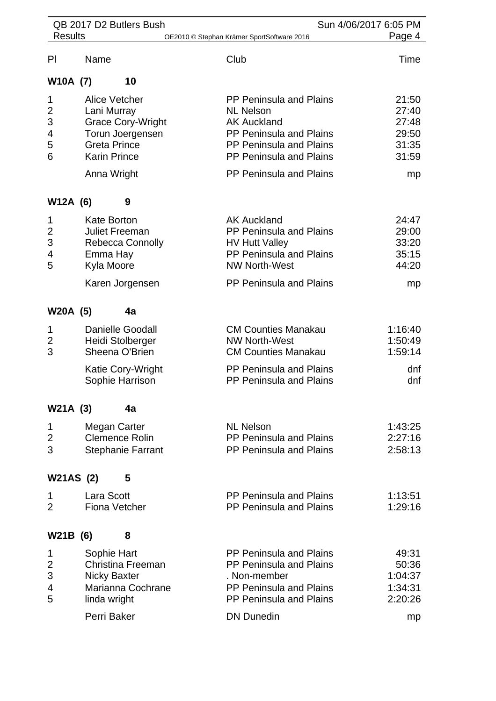|                                         |                        | QB 2017 D2 Butlers Bush                                                                                                                          |                                                                                                                                                                                             | Sun 4/06/2017 6:05 PM                                    |
|-----------------------------------------|------------------------|--------------------------------------------------------------------------------------------------------------------------------------------------|---------------------------------------------------------------------------------------------------------------------------------------------------------------------------------------------|----------------------------------------------------------|
| <b>Results</b>                          |                        |                                                                                                                                                  | OE2010 © Stephan Krämer SportSoftware 2016                                                                                                                                                  | Page 4                                                   |
| P <sub>l</sub>                          | Name                   |                                                                                                                                                  | Club                                                                                                                                                                                        | Time                                                     |
| W10A (7)                                |                        | 10                                                                                                                                               |                                                                                                                                                                                             |                                                          |
| 1<br>$\overline{2}$<br>3<br>4<br>5<br>6 |                        | <b>Alice Vetcher</b><br>Lani Murray<br><b>Grace Cory-Wright</b><br>Torun Joergensen<br><b>Greta Prince</b><br><b>Karin Prince</b><br>Anna Wright | <b>PP Peninsula and Plains</b><br><b>NL Nelson</b><br><b>AK Auckland</b><br>PP Peninsula and Plains<br>PP Peninsula and Plains<br>PP Peninsula and Plains<br><b>PP Peninsula and Plains</b> | 21:50<br>27:40<br>27:48<br>29:50<br>31:35<br>31:59<br>mp |
| W12A (6)                                |                        | 9                                                                                                                                                |                                                                                                                                                                                             |                                                          |
| 1<br>$\overline{2}$<br>3<br>4<br>5      | Emma Hay<br>Kyla Moore | <b>Kate Borton</b><br><b>Juliet Freeman</b><br><b>Rebecca Connolly</b>                                                                           | <b>AK Auckland</b><br>PP Peninsula and Plains<br><b>HV Hutt Valley</b><br>PP Peninsula and Plains<br><b>NW North-West</b>                                                                   | 24:47<br>29:00<br>33:20<br>35:15<br>44:20                |
|                                         |                        | Karen Jorgensen                                                                                                                                  | PP Peninsula and Plains                                                                                                                                                                     | mp                                                       |
| W20A (5)                                |                        | 4a                                                                                                                                               |                                                                                                                                                                                             |                                                          |
| 1<br>2<br>3                             |                        | <b>Danielle Goodall</b><br>Heidi Stolberger<br>Sheena O'Brien                                                                                    | <b>CM Counties Manakau</b><br><b>NW North-West</b><br><b>CM Counties Manakau</b>                                                                                                            | 1:16:40<br>1:50:49<br>1:59:14                            |
|                                         |                        | Katie Cory-Wright<br>Sophie Harrison                                                                                                             | PP Peninsula and Plains<br>PP Peninsula and Plains                                                                                                                                          | dnf<br>dnf                                               |
| W21A (3)                                |                        | 4a                                                                                                                                               |                                                                                                                                                                                             |                                                          |
| 1<br>2<br>3                             |                        | Megan Carter<br><b>Clemence Rolin</b><br><b>Stephanie Farrant</b>                                                                                | <b>NL Nelson</b><br>PP Peninsula and Plains<br>PP Peninsula and Plains                                                                                                                      | 1:43:25<br>2:27:16<br>2:58:13                            |
| W21AS (2)                               |                        | 5                                                                                                                                                |                                                                                                                                                                                             |                                                          |
| 1<br>$\overline{2}$                     | Lara Scott             | Fiona Vetcher                                                                                                                                    | <b>PP Peninsula and Plains</b><br>PP Peninsula and Plains                                                                                                                                   | 1:13:51<br>1:29:16                                       |
| W21B (6)                                |                        | 8                                                                                                                                                |                                                                                                                                                                                             |                                                          |
| 1<br>$\overline{c}$<br>3<br>4<br>5      | linda wright           | Sophie Hart<br><b>Christina Freeman</b><br><b>Nicky Baxter</b><br>Marianna Cochrane                                                              | <b>PP Peninsula and Plains</b><br>PP Peninsula and Plains<br>. Non-member<br>PP Peninsula and Plains<br>PP Peninsula and Plains                                                             | 49:31<br>50:36<br>1:04:37<br>1:34:31<br>2:20:26          |
|                                         |                        | Perri Baker                                                                                                                                      | <b>DN Dunedin</b>                                                                                                                                                                           | mp                                                       |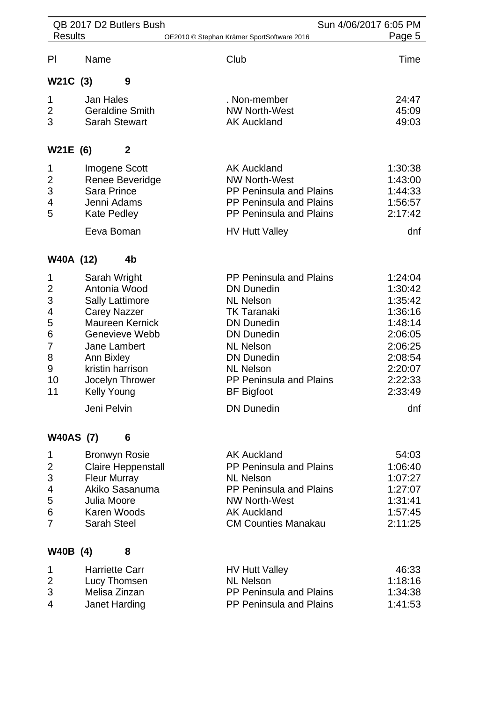| QB 2017 D2 Butlers Bush<br>Sun 4/06/2017 6:05 PM                       |                                                                                                 |                                                                                                                           |                                                                                                                                                                                                                                                                           |                                                                                                                              |
|------------------------------------------------------------------------|-------------------------------------------------------------------------------------------------|---------------------------------------------------------------------------------------------------------------------------|---------------------------------------------------------------------------------------------------------------------------------------------------------------------------------------------------------------------------------------------------------------------------|------------------------------------------------------------------------------------------------------------------------------|
| <b>Results</b>                                                         |                                                                                                 |                                                                                                                           | OE2010 © Stephan Krämer SportSoftware 2016                                                                                                                                                                                                                                | Page 5                                                                                                                       |
| P <sub>l</sub>                                                         | Name                                                                                            |                                                                                                                           | Club                                                                                                                                                                                                                                                                      | Time                                                                                                                         |
| W21C (3)                                                               |                                                                                                 | 9                                                                                                                         |                                                                                                                                                                                                                                                                           |                                                                                                                              |
| 1<br>$\overline{\mathbf{c}}$<br>3                                      | <b>Jan Hales</b>                                                                                | <b>Geraldine Smith</b><br><b>Sarah Stewart</b>                                                                            | . Non-member<br><b>NW North-West</b><br><b>AK Auckland</b>                                                                                                                                                                                                                | 24:47<br>45:09<br>49:03                                                                                                      |
| W21E (6)                                                               |                                                                                                 | $\mathbf{2}$                                                                                                              |                                                                                                                                                                                                                                                                           |                                                                                                                              |
| 1<br>$\overline{2}$<br>3<br>4<br>5                                     | <b>Sara Prince</b><br>Jenni Adams<br><b>Kate Pedley</b><br>Eeva Boman                           | Imogene Scott<br>Renee Beveridge                                                                                          | <b>AK Auckland</b><br><b>NW North-West</b><br><b>PP Peninsula and Plains</b><br><b>PP Peninsula and Plains</b><br><b>PP Peninsula and Plains</b><br><b>HV Hutt Valley</b>                                                                                                 | 1:30:38<br>1:43:00<br>1:44:33<br>1:56:57<br>2:17:42<br>dnf                                                                   |
| W40A (12)                                                              |                                                                                                 | 4b                                                                                                                        |                                                                                                                                                                                                                                                                           |                                                                                                                              |
| 1<br>$\overline{c}$<br>3<br>4<br>5<br>$\,6$<br>7<br>8<br>9<br>10<br>11 | Sarah Wright<br><b>Carey Nazzer</b><br>Jane Lambert<br>Ann Bixley<br>Kelly Young<br>Jeni Pelvin | Antonia Wood<br><b>Sally Lattimore</b><br><b>Maureen Kernick</b><br>Genevieve Webb<br>kristin harrison<br>Jocelyn Thrower | <b>PP Peninsula and Plains</b><br><b>DN Dunedin</b><br><b>NL Nelson</b><br><b>TK Taranaki</b><br><b>DN Dunedin</b><br><b>DN Dunedin</b><br><b>NL Nelson</b><br><b>DN Dunedin</b><br><b>NL Nelson</b><br>PP Peninsula and Plains<br><b>BF Bigfoot</b><br><b>DN Dunedin</b> | 1:24:04<br>1:30:42<br>1:35:42<br>1:36:16<br>1:48:14<br>2:06:05<br>2:06:25<br>2:08:54<br>2:20:07<br>2:22:33<br>2:33:49<br>dnf |
| <b>W40AS (7)</b>                                                       |                                                                                                 | 6                                                                                                                         |                                                                                                                                                                                                                                                                           |                                                                                                                              |
| 1<br>$\overline{2}$<br>3<br>4<br>5<br>6<br>7                           | <b>Fleur Murray</b><br>Julia Moore<br>Karen Woods<br><b>Sarah Steel</b>                         | <b>Bronwyn Rosie</b><br><b>Claire Heppenstall</b><br>Akiko Sasanuma                                                       | <b>AK Auckland</b><br>PP Peninsula and Plains<br><b>NL Nelson</b><br>PP Peninsula and Plains<br><b>NW North-West</b><br><b>AK Auckland</b><br><b>CM Counties Manakau</b>                                                                                                  | 54:03<br>1:06:40<br>1:07:27<br>1:27:07<br>1:31:41<br>1:57:45<br>2:11:25                                                      |
| W40B (4)                                                               |                                                                                                 | 8                                                                                                                         |                                                                                                                                                                                                                                                                           |                                                                                                                              |
| 1<br>$\overline{\mathbf{c}}$<br>3<br>4                                 | <b>Harriette Carr</b><br>Melisa Zinzan<br>Janet Harding                                         | Lucy Thomsen                                                                                                              | <b>HV Hutt Valley</b><br><b>NL Nelson</b><br><b>PP Peninsula and Plains</b><br>PP Peninsula and Plains                                                                                                                                                                    | 46:33<br>1:18:16<br>1:34:38<br>1:41:53                                                                                       |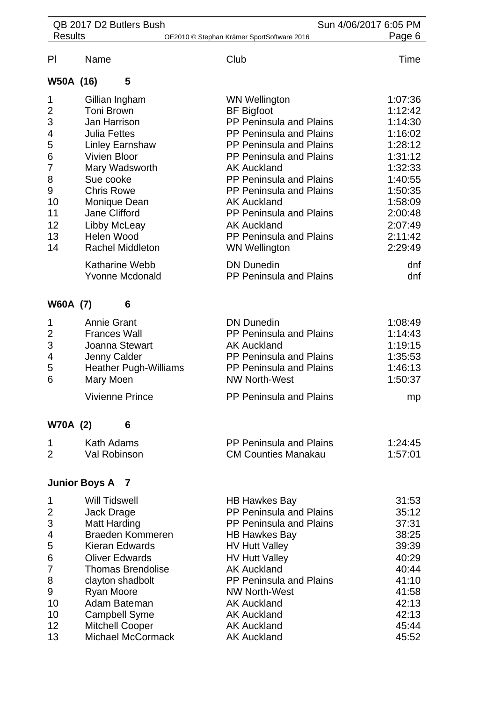| QB 2017 D2 Butlers Bush<br>Sun 4/06/2017 6:05 PM                                     |                                                                                                                                                                                                                                                                                      |                                                                                                                                                                                                                                                                                                                                                                                         |                                                                                                                                                        |
|--------------------------------------------------------------------------------------|--------------------------------------------------------------------------------------------------------------------------------------------------------------------------------------------------------------------------------------------------------------------------------------|-----------------------------------------------------------------------------------------------------------------------------------------------------------------------------------------------------------------------------------------------------------------------------------------------------------------------------------------------------------------------------------------|--------------------------------------------------------------------------------------------------------------------------------------------------------|
| <b>Results</b>                                                                       |                                                                                                                                                                                                                                                                                      | OE2010 © Stephan Krämer SportSoftware 2016                                                                                                                                                                                                                                                                                                                                              | Page 6                                                                                                                                                 |
| PI                                                                                   | Name                                                                                                                                                                                                                                                                                 | Club                                                                                                                                                                                                                                                                                                                                                                                    | Time                                                                                                                                                   |
| W50A (16)                                                                            | 5                                                                                                                                                                                                                                                                                    |                                                                                                                                                                                                                                                                                                                                                                                         |                                                                                                                                                        |
| 1<br>$\overline{c}$<br>3<br>4<br>5<br>6<br>7<br>8<br>9<br>10<br>11<br>12<br>13<br>14 | Gillian Ingham<br>Toni Brown<br>Jan Harrison<br><b>Julia Fettes</b><br><b>Linley Earnshaw</b><br><b>Vivien Bloor</b><br>Mary Wadsworth<br>Sue cooke<br><b>Chris Rowe</b><br>Monique Dean<br><b>Jane Clifford</b><br>Libby McLeay<br>Helen Wood<br><b>Rachel Middleton</b>            | <b>WN Wellington</b><br><b>BF</b> Bigfoot<br>PP Peninsula and Plains<br><b>PP Peninsula and Plains</b><br><b>PP Peninsula and Plains</b><br><b>PP Peninsula and Plains</b><br><b>AK Auckland</b><br>PP Peninsula and Plains<br><b>PP Peninsula and Plains</b><br><b>AK Auckland</b><br>PP Peninsula and Plains<br><b>AK Auckland</b><br>PP Peninsula and Plains<br><b>WN Wellington</b> | 1:07:36<br>1:12:42<br>1:14:30<br>1:16:02<br>1:28:12<br>1:31:12<br>1:32:33<br>1:40:55<br>1:50:35<br>1:58:09<br>2:00:48<br>2:07:49<br>2:11:42<br>2:29:49 |
|                                                                                      | <b>Katharine Webb</b><br><b>Yvonne Mcdonald</b>                                                                                                                                                                                                                                      | <b>DN Dunedin</b><br>PP Peninsula and Plains                                                                                                                                                                                                                                                                                                                                            | dnf<br>dnf                                                                                                                                             |
| <b>W60A (7)</b>                                                                      | 6                                                                                                                                                                                                                                                                                    |                                                                                                                                                                                                                                                                                                                                                                                         |                                                                                                                                                        |
| 1<br>$\overline{2}$<br>3<br>4<br>5<br>6                                              | <b>Annie Grant</b><br><b>Frances Wall</b><br>Joanna Stewart<br>Jenny Calder<br><b>Heather Pugh-Williams</b><br>Mary Moen                                                                                                                                                             | <b>DN Dunedin</b><br>PP Peninsula and Plains<br><b>AK Auckland</b><br>PP Peninsula and Plains<br>PP Peninsula and Plains<br><b>NW North-West</b>                                                                                                                                                                                                                                        | 1:08:49<br>1:14:43<br>1:19:15<br>1:35:53<br>1:46:13<br>1:50:37                                                                                         |
|                                                                                      | <b>Vivienne Prince</b>                                                                                                                                                                                                                                                               | PP Peninsula and Plains                                                                                                                                                                                                                                                                                                                                                                 | mp                                                                                                                                                     |
| <b>W70A (2)</b>                                                                      | 6                                                                                                                                                                                                                                                                                    |                                                                                                                                                                                                                                                                                                                                                                                         |                                                                                                                                                        |
| 1<br>$\overline{2}$                                                                  | Kath Adams<br><b>Val Robinson</b>                                                                                                                                                                                                                                                    | <b>PP Peninsula and Plains</b><br><b>CM Counties Manakau</b>                                                                                                                                                                                                                                                                                                                            | 1:24:45<br>1:57:01                                                                                                                                     |
|                                                                                      | <b>Junior Boys A</b><br>$\mathbf{7}$                                                                                                                                                                                                                                                 |                                                                                                                                                                                                                                                                                                                                                                                         |                                                                                                                                                        |
| 1<br>$\overline{2}$<br>3<br>4<br>5<br>6<br>7<br>8<br>9<br>10<br>10<br>12<br>13       | <b>Will Tidswell</b><br>Jack Drage<br><b>Matt Harding</b><br>Braeden Kommeren<br>Kieran Edwards<br><b>Oliver Edwards</b><br><b>Thomas Brendolise</b><br>clayton shadbolt<br>Ryan Moore<br>Adam Bateman<br><b>Campbell Syme</b><br><b>Mitchell Cooper</b><br><b>Michael McCormack</b> | <b>HB Hawkes Bay</b><br>PP Peninsula and Plains<br><b>PP Peninsula and Plains</b><br><b>HB Hawkes Bay</b><br><b>HV Hutt Valley</b><br><b>HV Hutt Valley</b><br><b>AK Auckland</b><br>PP Peninsula and Plains<br><b>NW North-West</b><br><b>AK Auckland</b><br><b>AK Auckland</b><br><b>AK Auckland</b><br><b>AK Auckland</b>                                                            | 31:53<br>35:12<br>37:31<br>38:25<br>39:39<br>40:29<br>40:44<br>41:10<br>41:58<br>42:13<br>42:13<br>45:44<br>45:52                                      |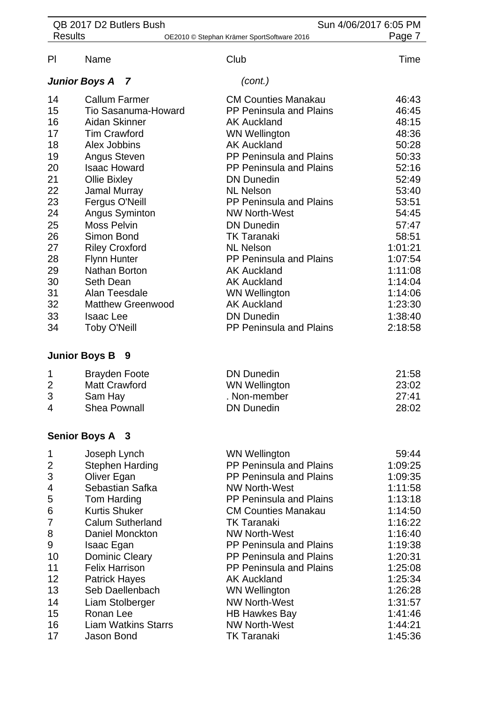| QB 2017 D2 Butlers Bush |                        |                            | Sun 4/06/2017 6:05 PM                      |         |
|-------------------------|------------------------|----------------------------|--------------------------------------------|---------|
| <b>Results</b>          |                        |                            | OE2010 © Stephan Krämer SportSoftware 2016 | Page 7  |
| PI                      | Name                   |                            | Club                                       | Time    |
|                         | <b>Junior Boys A</b>   | $\overline{z}$             | (cont.)                                    |         |
| 14                      | <b>Callum Farmer</b>   |                            | <b>CM Counties Manakau</b>                 | 46:43   |
| 15                      |                        | Tio Sasanuma-Howard        | PP Peninsula and Plains                    | 46:45   |
| 16                      | Aidan Skinner          |                            | <b>AK Auckland</b>                         | 48:15   |
| 17                      | <b>Tim Crawford</b>    |                            | <b>WN Wellington</b>                       | 48:36   |
| 18                      | Alex Jobbins           |                            | <b>AK Auckland</b>                         | 50:28   |
| 19                      | Angus Steven           |                            | PP Peninsula and Plains                    | 50:33   |
| 20                      | <b>Isaac Howard</b>    |                            | PP Peninsula and Plains                    | 52:16   |
| 21                      | <b>Ollie Bixley</b>    |                            | <b>DN Dunedin</b>                          | 52:49   |
| 22                      | Jamal Murray           |                            | <b>NL Nelson</b>                           | 53:40   |
| 23                      | Fergus O'Neill         |                            | <b>PP Peninsula and Plains</b>             | 53:51   |
| 24                      | Angus Syminton         |                            | <b>NW North-West</b>                       | 54:45   |
| 25                      | <b>Moss Pelvin</b>     |                            | <b>DN Dunedin</b>                          | 57:47   |
| 26                      | Simon Bond             |                            | <b>TK Taranaki</b>                         | 58:51   |
| 27                      | <b>Riley Croxford</b>  |                            | <b>NL Nelson</b>                           | 1:01:21 |
| 28                      | <b>Flynn Hunter</b>    |                            | PP Peninsula and Plains                    | 1:07:54 |
| 29                      | <b>Nathan Borton</b>   |                            | <b>AK Auckland</b>                         | 1:11:08 |
| 30                      | Seth Dean              |                            | <b>AK Auckland</b>                         | 1:14:04 |
| 31                      | Alan Teesdale          |                            | <b>WN Wellington</b>                       | 1:14:06 |
| 32                      |                        | <b>Matthew Greenwood</b>   | <b>AK Auckland</b>                         | 1:23:30 |
| 33                      | <b>Isaac Lee</b>       |                            | <b>DN Dunedin</b>                          | 1:38:40 |
| 34                      | <b>Toby O'Neill</b>    |                            | <b>PP Peninsula and Plains</b>             | 2:18:58 |
| <b>Junior Boys B</b>    |                        | - 9                        |                                            |         |
| 1                       | <b>Brayden Foote</b>   |                            | <b>DN Dunedin</b>                          | 21:58   |
| $\overline{2}$          | <b>Matt Crawford</b>   |                            | <b>WN Wellington</b>                       | 23:02   |
| 3                       | Sam Hay                |                            | . Non-member                               | 27:41   |
| 4                       | <b>Shea Pownall</b>    |                            | <b>DN Dunedin</b>                          | 28:02   |
|                         | <b>Senior Boys A 3</b> |                            |                                            |         |
| 1                       | Joseph Lynch           |                            | <b>WN Wellington</b>                       | 59:44   |
| $\overline{2}$          | <b>Stephen Harding</b> |                            | PP Peninsula and Plains                    | 1:09:25 |
| 3                       | Oliver Egan            |                            | <b>PP Peninsula and Plains</b>             | 1:09:35 |
| 4                       |                        | Sebastian Safka            | <b>NW North-West</b>                       | 1:11:58 |
| 5                       | Tom Harding            |                            | PP Peninsula and Plains                    | 1:13:18 |
| 6                       | <b>Kurtis Shuker</b>   |                            | <b>CM Counties Manakau</b>                 | 1:14:50 |
| $\overline{7}$          |                        | <b>Calum Sutherland</b>    | <b>TK Taranaki</b>                         | 1:16:22 |
| 8                       |                        | Daniel Monckton            | <b>NW North-West</b>                       | 1:16:40 |
| 9                       | Isaac Egan             |                            | <b>PP Peninsula and Plains</b>             | 1:19:38 |
| 10                      | <b>Dominic Cleary</b>  |                            | PP Peninsula and Plains                    | 1:20:31 |
| 11                      | <b>Felix Harrison</b>  |                            | <b>PP Peninsula and Plains</b>             | 1:25:08 |
| 12                      | <b>Patrick Hayes</b>   |                            | <b>AK Auckland</b>                         | 1:25:34 |
| 13                      |                        | Seb Daellenbach            | <b>WN Wellington</b>                       | 1:26:28 |
| 14                      | Liam Stolberger        |                            | <b>NW North-West</b>                       | 1:31:57 |
| 15                      | Ronan Lee              |                            | <b>HB Hawkes Bay</b>                       | 1:41:46 |
| 16                      |                        | <b>Liam Watkins Starrs</b> | <b>NW North-West</b>                       | 1:44:21 |
| 17                      | Jason Bond             |                            | <b>TK Taranaki</b>                         | 1:45:36 |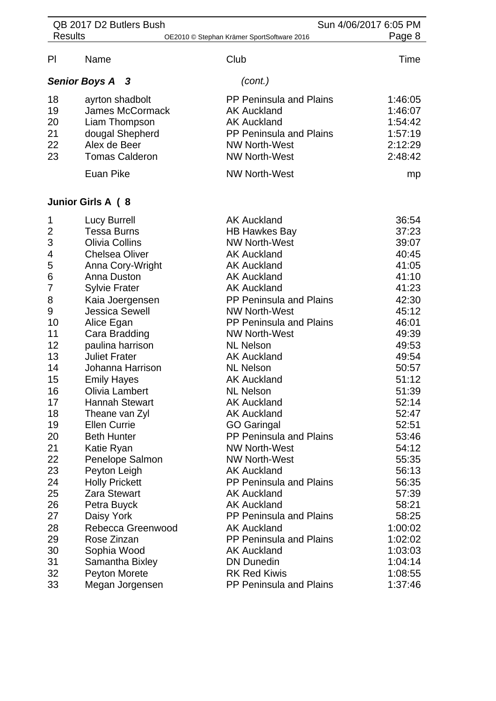| <b>Results</b><br>OE2010 © Stephan Krämer SportSoftware 2016<br>Club<br>PI<br>Name<br>(cont.)<br><b>Senior Boys A 3</b><br>18<br><b>PP Peninsula and Plains</b><br>ayrton shadbolt<br>19<br><b>James McCormack</b><br><b>AK Auckland</b><br>20<br><b>AK Auckland</b><br>Liam Thompson<br>21<br>dougal Shepherd<br>PP Peninsula and Plains<br>22<br>Alex de Beer<br><b>NW North-West</b><br>23<br><b>Tomas Calderon</b><br><b>NW North-West</b><br><b>Euan Pike</b><br><b>NW North-West</b><br>Junior Girls A (8<br><b>AK Auckland</b><br>Lucy Burrell<br>1<br>$\overline{2}$<br><b>Tessa Burns</b><br><b>HB Hawkes Bay</b><br>3<br><b>Olivia Collins</b><br><b>NW North-West</b><br><b>Chelsea Oliver</b><br>4<br><b>AK Auckland</b><br>5<br>Anna Cory-Wright<br><b>AK Auckland</b><br>6<br>Anna Duston<br><b>AK Auckland</b><br>$\overline{7}$<br><b>Sylvie Frater</b><br><b>AK Auckland</b><br>8<br>PP Peninsula and Plains<br>Kaia Joergensen<br>9<br><b>Jessica Sewell</b><br><b>NW North-West</b><br>10<br>PP Peninsula and Plains<br>Alice Egan<br>11<br><b>NW North-West</b><br>49:39<br>Cara Bradding<br>12<br>paulina harrison<br><b>NL Nelson</b><br>49:53<br>13<br><b>Juliet Frater</b><br><b>AK Auckland</b><br>49:54<br>14<br>Johanna Harrison<br><b>NL Nelson</b><br>50:57<br>15<br>51:12<br><b>AK Auckland</b><br><b>Emily Hayes</b><br>51:39<br>16<br><b>NL Nelson</b><br>Olivia Lambert<br>17<br><b>Hannah Stewart</b><br><b>AK Auckland</b><br>52:14<br>18<br><b>AK Auckland</b><br>Theane van Zyl<br>52:47<br>19<br><b>Ellen Currie</b><br><b>GO Garingal</b><br>52:51<br>PP Peninsula and Plains<br>20<br><b>Beth Hunter</b><br>53:46<br>21<br><b>NW North-West</b><br>54:12<br>Katie Ryan<br>22<br>Penelope Salmon<br><b>NW North-West</b><br>55:35<br>23<br><b>AK Auckland</b><br>Peyton Leigh<br>24<br>PP Peninsula and Plains<br><b>Holly Prickett</b><br>56:35<br>25<br><b>AK Auckland</b><br><b>Zara Stewart</b><br>26<br><b>AK Auckland</b><br>Petra Buyck<br>27<br><b>PP Peninsula and Plains</b><br>Daisy York<br>28<br>Rebecca Greenwood<br><b>AK Auckland</b> |    | QB 2017 D2 Butlers Bush |                                | Sun 4/06/2017 6:05 PM |
|----------------------------------------------------------------------------------------------------------------------------------------------------------------------------------------------------------------------------------------------------------------------------------------------------------------------------------------------------------------------------------------------------------------------------------------------------------------------------------------------------------------------------------------------------------------------------------------------------------------------------------------------------------------------------------------------------------------------------------------------------------------------------------------------------------------------------------------------------------------------------------------------------------------------------------------------------------------------------------------------------------------------------------------------------------------------------------------------------------------------------------------------------------------------------------------------------------------------------------------------------------------------------------------------------------------------------------------------------------------------------------------------------------------------------------------------------------------------------------------------------------------------------------------------------------------------------------------------------------------------------------------------------------------------------------------------------------------------------------------------------------------------------------------------------------------------------------------------------------------------------------------------------------------------------------------------------------------------------------------------------------------------------------------------------------------------------------------------|----|-------------------------|--------------------------------|-----------------------|
|                                                                                                                                                                                                                                                                                                                                                                                                                                                                                                                                                                                                                                                                                                                                                                                                                                                                                                                                                                                                                                                                                                                                                                                                                                                                                                                                                                                                                                                                                                                                                                                                                                                                                                                                                                                                                                                                                                                                                                                                                                                                                              |    |                         |                                | Page 8                |
|                                                                                                                                                                                                                                                                                                                                                                                                                                                                                                                                                                                                                                                                                                                                                                                                                                                                                                                                                                                                                                                                                                                                                                                                                                                                                                                                                                                                                                                                                                                                                                                                                                                                                                                                                                                                                                                                                                                                                                                                                                                                                              |    |                         |                                | Time                  |
|                                                                                                                                                                                                                                                                                                                                                                                                                                                                                                                                                                                                                                                                                                                                                                                                                                                                                                                                                                                                                                                                                                                                                                                                                                                                                                                                                                                                                                                                                                                                                                                                                                                                                                                                                                                                                                                                                                                                                                                                                                                                                              |    |                         |                                |                       |
|                                                                                                                                                                                                                                                                                                                                                                                                                                                                                                                                                                                                                                                                                                                                                                                                                                                                                                                                                                                                                                                                                                                                                                                                                                                                                                                                                                                                                                                                                                                                                                                                                                                                                                                                                                                                                                                                                                                                                                                                                                                                                              |    |                         |                                | 1:46:05               |
|                                                                                                                                                                                                                                                                                                                                                                                                                                                                                                                                                                                                                                                                                                                                                                                                                                                                                                                                                                                                                                                                                                                                                                                                                                                                                                                                                                                                                                                                                                                                                                                                                                                                                                                                                                                                                                                                                                                                                                                                                                                                                              |    |                         |                                | 1:46:07               |
|                                                                                                                                                                                                                                                                                                                                                                                                                                                                                                                                                                                                                                                                                                                                                                                                                                                                                                                                                                                                                                                                                                                                                                                                                                                                                                                                                                                                                                                                                                                                                                                                                                                                                                                                                                                                                                                                                                                                                                                                                                                                                              |    |                         |                                | 1:54:42               |
|                                                                                                                                                                                                                                                                                                                                                                                                                                                                                                                                                                                                                                                                                                                                                                                                                                                                                                                                                                                                                                                                                                                                                                                                                                                                                                                                                                                                                                                                                                                                                                                                                                                                                                                                                                                                                                                                                                                                                                                                                                                                                              |    |                         |                                | 1:57:19               |
|                                                                                                                                                                                                                                                                                                                                                                                                                                                                                                                                                                                                                                                                                                                                                                                                                                                                                                                                                                                                                                                                                                                                                                                                                                                                                                                                                                                                                                                                                                                                                                                                                                                                                                                                                                                                                                                                                                                                                                                                                                                                                              |    |                         |                                | 2:12:29               |
|                                                                                                                                                                                                                                                                                                                                                                                                                                                                                                                                                                                                                                                                                                                                                                                                                                                                                                                                                                                                                                                                                                                                                                                                                                                                                                                                                                                                                                                                                                                                                                                                                                                                                                                                                                                                                                                                                                                                                                                                                                                                                              |    |                         |                                | 2:48:42               |
|                                                                                                                                                                                                                                                                                                                                                                                                                                                                                                                                                                                                                                                                                                                                                                                                                                                                                                                                                                                                                                                                                                                                                                                                                                                                                                                                                                                                                                                                                                                                                                                                                                                                                                                                                                                                                                                                                                                                                                                                                                                                                              |    |                         |                                | mp                    |
|                                                                                                                                                                                                                                                                                                                                                                                                                                                                                                                                                                                                                                                                                                                                                                                                                                                                                                                                                                                                                                                                                                                                                                                                                                                                                                                                                                                                                                                                                                                                                                                                                                                                                                                                                                                                                                                                                                                                                                                                                                                                                              |    |                         |                                |                       |
|                                                                                                                                                                                                                                                                                                                                                                                                                                                                                                                                                                                                                                                                                                                                                                                                                                                                                                                                                                                                                                                                                                                                                                                                                                                                                                                                                                                                                                                                                                                                                                                                                                                                                                                                                                                                                                                                                                                                                                                                                                                                                              |    |                         |                                | 36:54                 |
|                                                                                                                                                                                                                                                                                                                                                                                                                                                                                                                                                                                                                                                                                                                                                                                                                                                                                                                                                                                                                                                                                                                                                                                                                                                                                                                                                                                                                                                                                                                                                                                                                                                                                                                                                                                                                                                                                                                                                                                                                                                                                              |    |                         |                                | 37:23                 |
|                                                                                                                                                                                                                                                                                                                                                                                                                                                                                                                                                                                                                                                                                                                                                                                                                                                                                                                                                                                                                                                                                                                                                                                                                                                                                                                                                                                                                                                                                                                                                                                                                                                                                                                                                                                                                                                                                                                                                                                                                                                                                              |    |                         |                                | 39:07                 |
|                                                                                                                                                                                                                                                                                                                                                                                                                                                                                                                                                                                                                                                                                                                                                                                                                                                                                                                                                                                                                                                                                                                                                                                                                                                                                                                                                                                                                                                                                                                                                                                                                                                                                                                                                                                                                                                                                                                                                                                                                                                                                              |    |                         |                                | 40:45                 |
|                                                                                                                                                                                                                                                                                                                                                                                                                                                                                                                                                                                                                                                                                                                                                                                                                                                                                                                                                                                                                                                                                                                                                                                                                                                                                                                                                                                                                                                                                                                                                                                                                                                                                                                                                                                                                                                                                                                                                                                                                                                                                              |    |                         |                                | 41:05                 |
|                                                                                                                                                                                                                                                                                                                                                                                                                                                                                                                                                                                                                                                                                                                                                                                                                                                                                                                                                                                                                                                                                                                                                                                                                                                                                                                                                                                                                                                                                                                                                                                                                                                                                                                                                                                                                                                                                                                                                                                                                                                                                              |    |                         |                                | 41:10                 |
|                                                                                                                                                                                                                                                                                                                                                                                                                                                                                                                                                                                                                                                                                                                                                                                                                                                                                                                                                                                                                                                                                                                                                                                                                                                                                                                                                                                                                                                                                                                                                                                                                                                                                                                                                                                                                                                                                                                                                                                                                                                                                              |    |                         |                                | 41:23                 |
|                                                                                                                                                                                                                                                                                                                                                                                                                                                                                                                                                                                                                                                                                                                                                                                                                                                                                                                                                                                                                                                                                                                                                                                                                                                                                                                                                                                                                                                                                                                                                                                                                                                                                                                                                                                                                                                                                                                                                                                                                                                                                              |    |                         |                                | 42:30                 |
|                                                                                                                                                                                                                                                                                                                                                                                                                                                                                                                                                                                                                                                                                                                                                                                                                                                                                                                                                                                                                                                                                                                                                                                                                                                                                                                                                                                                                                                                                                                                                                                                                                                                                                                                                                                                                                                                                                                                                                                                                                                                                              |    |                         |                                | 45:12                 |
|                                                                                                                                                                                                                                                                                                                                                                                                                                                                                                                                                                                                                                                                                                                                                                                                                                                                                                                                                                                                                                                                                                                                                                                                                                                                                                                                                                                                                                                                                                                                                                                                                                                                                                                                                                                                                                                                                                                                                                                                                                                                                              |    |                         |                                | 46:01                 |
|                                                                                                                                                                                                                                                                                                                                                                                                                                                                                                                                                                                                                                                                                                                                                                                                                                                                                                                                                                                                                                                                                                                                                                                                                                                                                                                                                                                                                                                                                                                                                                                                                                                                                                                                                                                                                                                                                                                                                                                                                                                                                              |    |                         |                                |                       |
|                                                                                                                                                                                                                                                                                                                                                                                                                                                                                                                                                                                                                                                                                                                                                                                                                                                                                                                                                                                                                                                                                                                                                                                                                                                                                                                                                                                                                                                                                                                                                                                                                                                                                                                                                                                                                                                                                                                                                                                                                                                                                              |    |                         |                                |                       |
|                                                                                                                                                                                                                                                                                                                                                                                                                                                                                                                                                                                                                                                                                                                                                                                                                                                                                                                                                                                                                                                                                                                                                                                                                                                                                                                                                                                                                                                                                                                                                                                                                                                                                                                                                                                                                                                                                                                                                                                                                                                                                              |    |                         |                                |                       |
|                                                                                                                                                                                                                                                                                                                                                                                                                                                                                                                                                                                                                                                                                                                                                                                                                                                                                                                                                                                                                                                                                                                                                                                                                                                                                                                                                                                                                                                                                                                                                                                                                                                                                                                                                                                                                                                                                                                                                                                                                                                                                              |    |                         |                                |                       |
|                                                                                                                                                                                                                                                                                                                                                                                                                                                                                                                                                                                                                                                                                                                                                                                                                                                                                                                                                                                                                                                                                                                                                                                                                                                                                                                                                                                                                                                                                                                                                                                                                                                                                                                                                                                                                                                                                                                                                                                                                                                                                              |    |                         |                                |                       |
|                                                                                                                                                                                                                                                                                                                                                                                                                                                                                                                                                                                                                                                                                                                                                                                                                                                                                                                                                                                                                                                                                                                                                                                                                                                                                                                                                                                                                                                                                                                                                                                                                                                                                                                                                                                                                                                                                                                                                                                                                                                                                              |    |                         |                                |                       |
|                                                                                                                                                                                                                                                                                                                                                                                                                                                                                                                                                                                                                                                                                                                                                                                                                                                                                                                                                                                                                                                                                                                                                                                                                                                                                                                                                                                                                                                                                                                                                                                                                                                                                                                                                                                                                                                                                                                                                                                                                                                                                              |    |                         |                                |                       |
|                                                                                                                                                                                                                                                                                                                                                                                                                                                                                                                                                                                                                                                                                                                                                                                                                                                                                                                                                                                                                                                                                                                                                                                                                                                                                                                                                                                                                                                                                                                                                                                                                                                                                                                                                                                                                                                                                                                                                                                                                                                                                              |    |                         |                                |                       |
|                                                                                                                                                                                                                                                                                                                                                                                                                                                                                                                                                                                                                                                                                                                                                                                                                                                                                                                                                                                                                                                                                                                                                                                                                                                                                                                                                                                                                                                                                                                                                                                                                                                                                                                                                                                                                                                                                                                                                                                                                                                                                              |    |                         |                                |                       |
|                                                                                                                                                                                                                                                                                                                                                                                                                                                                                                                                                                                                                                                                                                                                                                                                                                                                                                                                                                                                                                                                                                                                                                                                                                                                                                                                                                                                                                                                                                                                                                                                                                                                                                                                                                                                                                                                                                                                                                                                                                                                                              |    |                         |                                |                       |
|                                                                                                                                                                                                                                                                                                                                                                                                                                                                                                                                                                                                                                                                                                                                                                                                                                                                                                                                                                                                                                                                                                                                                                                                                                                                                                                                                                                                                                                                                                                                                                                                                                                                                                                                                                                                                                                                                                                                                                                                                                                                                              |    |                         |                                |                       |
|                                                                                                                                                                                                                                                                                                                                                                                                                                                                                                                                                                                                                                                                                                                                                                                                                                                                                                                                                                                                                                                                                                                                                                                                                                                                                                                                                                                                                                                                                                                                                                                                                                                                                                                                                                                                                                                                                                                                                                                                                                                                                              |    |                         |                                | 56:13                 |
|                                                                                                                                                                                                                                                                                                                                                                                                                                                                                                                                                                                                                                                                                                                                                                                                                                                                                                                                                                                                                                                                                                                                                                                                                                                                                                                                                                                                                                                                                                                                                                                                                                                                                                                                                                                                                                                                                                                                                                                                                                                                                              |    |                         |                                |                       |
|                                                                                                                                                                                                                                                                                                                                                                                                                                                                                                                                                                                                                                                                                                                                                                                                                                                                                                                                                                                                                                                                                                                                                                                                                                                                                                                                                                                                                                                                                                                                                                                                                                                                                                                                                                                                                                                                                                                                                                                                                                                                                              |    |                         |                                | 57:39                 |
|                                                                                                                                                                                                                                                                                                                                                                                                                                                                                                                                                                                                                                                                                                                                                                                                                                                                                                                                                                                                                                                                                                                                                                                                                                                                                                                                                                                                                                                                                                                                                                                                                                                                                                                                                                                                                                                                                                                                                                                                                                                                                              |    |                         |                                | 58:21                 |
|                                                                                                                                                                                                                                                                                                                                                                                                                                                                                                                                                                                                                                                                                                                                                                                                                                                                                                                                                                                                                                                                                                                                                                                                                                                                                                                                                                                                                                                                                                                                                                                                                                                                                                                                                                                                                                                                                                                                                                                                                                                                                              |    |                         |                                | 58:25                 |
|                                                                                                                                                                                                                                                                                                                                                                                                                                                                                                                                                                                                                                                                                                                                                                                                                                                                                                                                                                                                                                                                                                                                                                                                                                                                                                                                                                                                                                                                                                                                                                                                                                                                                                                                                                                                                                                                                                                                                                                                                                                                                              |    |                         |                                | 1:00:02               |
|                                                                                                                                                                                                                                                                                                                                                                                                                                                                                                                                                                                                                                                                                                                                                                                                                                                                                                                                                                                                                                                                                                                                                                                                                                                                                                                                                                                                                                                                                                                                                                                                                                                                                                                                                                                                                                                                                                                                                                                                                                                                                              | 29 | Rose Zinzan             | <b>PP Peninsula and Plains</b> | 1:02:02               |
| 30<br>Sophia Wood<br><b>AK Auckland</b>                                                                                                                                                                                                                                                                                                                                                                                                                                                                                                                                                                                                                                                                                                                                                                                                                                                                                                                                                                                                                                                                                                                                                                                                                                                                                                                                                                                                                                                                                                                                                                                                                                                                                                                                                                                                                                                                                                                                                                                                                                                      |    |                         |                                | 1:03:03               |
| 31<br><b>DN Dunedin</b><br>Samantha Bixley                                                                                                                                                                                                                                                                                                                                                                                                                                                                                                                                                                                                                                                                                                                                                                                                                                                                                                                                                                                                                                                                                                                                                                                                                                                                                                                                                                                                                                                                                                                                                                                                                                                                                                                                                                                                                                                                                                                                                                                                                                                   |    |                         |                                | 1:04:14               |
| 32<br>Peyton Morete<br><b>RK Red Kiwis</b>                                                                                                                                                                                                                                                                                                                                                                                                                                                                                                                                                                                                                                                                                                                                                                                                                                                                                                                                                                                                                                                                                                                                                                                                                                                                                                                                                                                                                                                                                                                                                                                                                                                                                                                                                                                                                                                                                                                                                                                                                                                   |    |                         |                                | 1:08:55               |
| 33<br>Megan Jorgensen<br>PP Peninsula and Plains                                                                                                                                                                                                                                                                                                                                                                                                                                                                                                                                                                                                                                                                                                                                                                                                                                                                                                                                                                                                                                                                                                                                                                                                                                                                                                                                                                                                                                                                                                                                                                                                                                                                                                                                                                                                                                                                                                                                                                                                                                             |    |                         |                                | 1:37:46               |